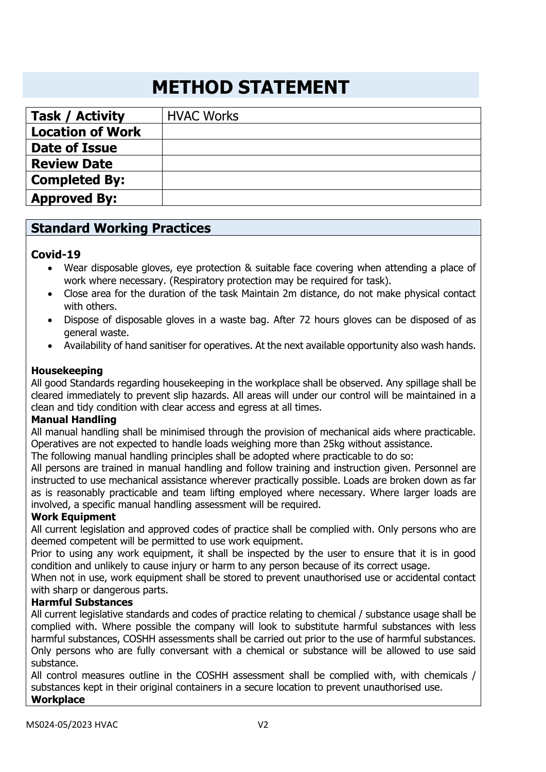# **METHOD STATEMENT**

| <b>Task / Activity</b>  | <b>HVAC Works</b> |
|-------------------------|-------------------|
| <b>Location of Work</b> |                   |
| <b>Date of Issue</b>    |                   |
| <b>Review Date</b>      |                   |
| <b>Completed By:</b>    |                   |
| <b>Approved By:</b>     |                   |

## **Standard Working Practices**

#### **Covid-19**

- Wear disposable gloves, eye protection & suitable face covering when attending a place of work where necessary. (Respiratory protection may be required for task).
- Close area for the duration of the task Maintain 2m distance, do not make physical contact with others.
- Dispose of disposable gloves in a waste bag. After 72 hours gloves can be disposed of as general waste.
- Availability of hand sanitiser for operatives. At the next available opportunity also wash hands.

#### **Housekeeping**

All good Standards regarding housekeeping in the workplace shall be observed. Any spillage shall be cleared immediately to prevent slip hazards. All areas will under our control will be maintained in a clean and tidy condition with clear access and egress at all times.

#### **Manual Handling**

All manual handling shall be minimised through the provision of mechanical aids where practicable. Operatives are not expected to handle loads weighing more than 25kg without assistance.

The following manual handling principles shall be adopted where practicable to do so:

All persons are trained in manual handling and follow training and instruction given. Personnel are instructed to use mechanical assistance wherever practically possible. Loads are broken down as far as is reasonably practicable and team lifting employed where necessary. Where larger loads are involved, a specific manual handling assessment will be required.

#### **Work Equipment**

All current legislation and approved codes of practice shall be complied with. Only persons who are deemed competent will be permitted to use work equipment.

Prior to using any work equipment, it shall be inspected by the user to ensure that it is in good condition and unlikely to cause injury or harm to any person because of its correct usage.

When not in use, work equipment shall be stored to prevent unauthorised use or accidental contact with sharp or dangerous parts.

## **Harmful Substances**

All current legislative standards and codes of practice relating to chemical / substance usage shall be complied with. Where possible the company will look to substitute harmful substances with less harmful substances, COSHH assessments shall be carried out prior to the use of harmful substances. Only persons who are fully conversant with a chemical or substance will be allowed to use said substance.

All control measures outline in the COSHH assessment shall be complied with, with chemicals / substances kept in their original containers in a secure location to prevent unauthorised use. **Workplace**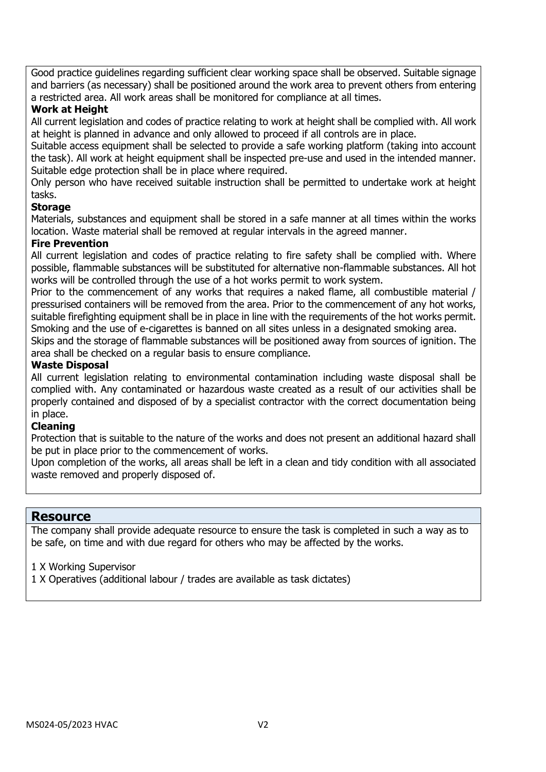Good practice guidelines regarding sufficient clear working space shall be observed. Suitable signage and barriers (as necessary) shall be positioned around the work area to prevent others from entering a restricted area. All work areas shall be monitored for compliance at all times.

#### **Work at Height**

All current legislation and codes of practice relating to work at height shall be complied with. All work at height is planned in advance and only allowed to proceed if all controls are in place.

Suitable access equipment shall be selected to provide a safe working platform (taking into account the task). All work at height equipment shall be inspected pre-use and used in the intended manner. Suitable edge protection shall be in place where required.

Only person who have received suitable instruction shall be permitted to undertake work at height tasks.

#### **Storage**

Materials, substances and equipment shall be stored in a safe manner at all times within the works location. Waste material shall be removed at regular intervals in the agreed manner.

#### **Fire Prevention**

All current legislation and codes of practice relating to fire safety shall be complied with. Where possible, flammable substances will be substituted for alternative non-flammable substances. All hot works will be controlled through the use of a hot works permit to work system.

Prior to the commencement of any works that requires a naked flame, all combustible material / pressurised containers will be removed from the area. Prior to the commencement of any hot works, suitable firefighting equipment shall be in place in line with the requirements of the hot works permit. Smoking and the use of e-cigarettes is banned on all sites unless in a designated smoking area.

Skips and the storage of flammable substances will be positioned away from sources of ignition. The area shall be checked on a regular basis to ensure compliance.

#### **Waste Disposal**

All current legislation relating to environmental contamination including waste disposal shall be complied with. Any contaminated or hazardous waste created as a result of our activities shall be properly contained and disposed of by a specialist contractor with the correct documentation being in place.

#### **Cleaning**

Protection that is suitable to the nature of the works and does not present an additional hazard shall be put in place prior to the commencement of works.

Upon completion of the works, all areas shall be left in a clean and tidy condition with all associated waste removed and properly disposed of.

#### **Resource**

The company shall provide adequate resource to ensure the task is completed in such a way as to be safe, on time and with due regard for others who may be affected by the works.

- 1 X Working Supervisor
- 1 X Operatives (additional labour / trades are available as task dictates)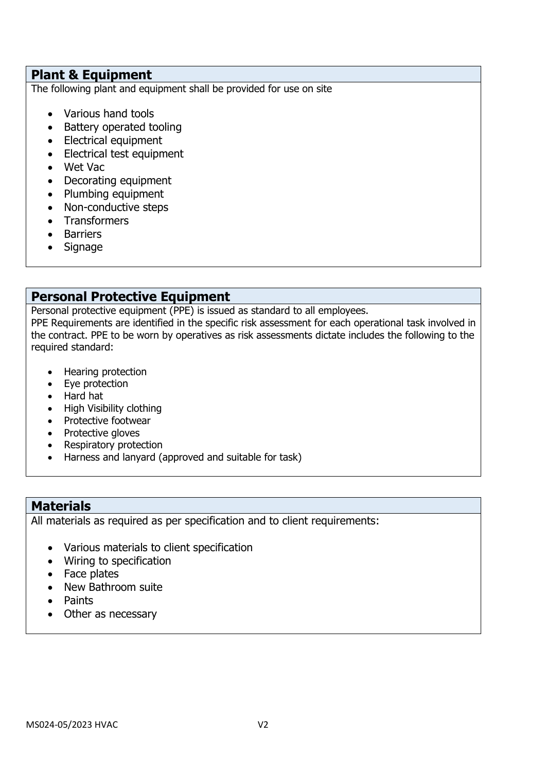## **Plant & Equipment**

The following plant and equipment shall be provided for use on site

- Various hand tools
- Battery operated tooling
- Electrical equipment
- Electrical test equipment
- Wet Vac
- Decorating equipment
- Plumbing equipment
- Non-conductive steps
- Transformers
- Barriers
- Signage

# **Personal Protective Equipment**

Personal protective equipment (PPE) is issued as standard to all employees.

PPE Requirements are identified in the specific risk assessment for each operational task involved in the contract. PPE to be worn by operatives as risk assessments dictate includes the following to the required standard:

- Hearing protection
- Eye protection
- Hard hat
- High Visibility clothing
- Protective footwear
- Protective gloves
- Respiratory protection
- Harness and lanyard (approved and suitable for task)

## **Materials**

All materials as required as per specification and to client requirements:

- Various materials to client specification
- Wiring to specification
- Face plates
- New Bathroom suite
- Paints
- Other as necessary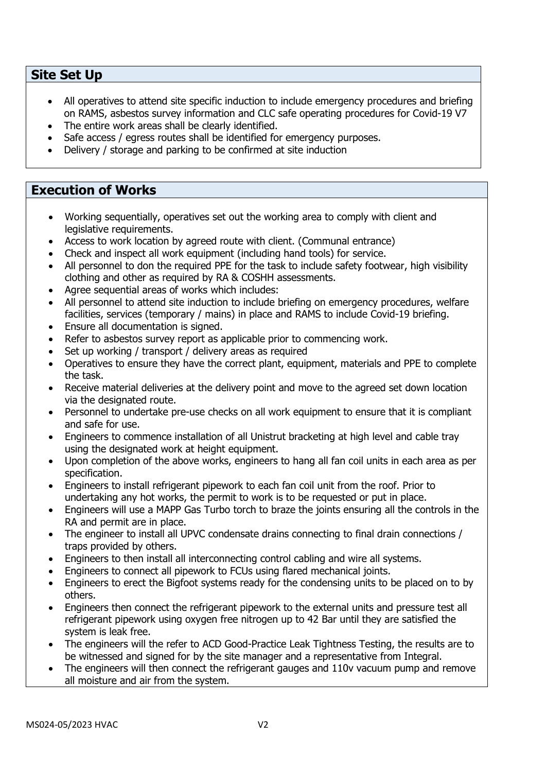## **Site Set Up**

- All operatives to attend site specific induction to include emergency procedures and briefing on RAMS, asbestos survey information and CLC safe operating procedures for Covid-19 V7
- The entire work areas shall be clearly identified.
- Safe access / egress routes shall be identified for emergency purposes.
- Delivery / storage and parking to be confirmed at site induction

## **Execution of Works**

- Working sequentially, operatives set out the working area to comply with client and legislative requirements.
- Access to work location by agreed route with client. (Communal entrance)
- Check and inspect all work equipment (including hand tools) for service.
- All personnel to don the required PPE for the task to include safety footwear, high visibility clothing and other as required by RA & COSHH assessments.
- Agree sequential areas of works which includes:
- All personnel to attend site induction to include briefing on emergency procedures, welfare facilities, services (temporary / mains) in place and RAMS to include Covid-19 briefing.
- Ensure all documentation is signed.
- Refer to asbestos survey report as applicable prior to commencing work.
- Set up working / transport / delivery areas as required
- Operatives to ensure they have the correct plant, equipment, materials and PPE to complete the task.
- Receive material deliveries at the delivery point and move to the agreed set down location via the designated route.
- Personnel to undertake pre-use checks on all work equipment to ensure that it is compliant and safe for use.
- Engineers to commence installation of all Unistrut bracketing at high level and cable tray using the designated work at height equipment.
- Upon completion of the above works, engineers to hang all fan coil units in each area as per specification.
- Engineers to install refrigerant pipework to each fan coil unit from the roof. Prior to undertaking any hot works, the permit to work is to be requested or put in place.
- Engineers will use a MAPP Gas Turbo torch to braze the joints ensuring all the controls in the RA and permit are in place.
- The engineer to install all UPVC condensate drains connecting to final drain connections / traps provided by others.
- Engineers to then install all interconnecting control cabling and wire all systems.
- Engineers to connect all pipework to FCUs using flared mechanical joints.
- Engineers to erect the Bigfoot systems ready for the condensing units to be placed on to by others.
- Engineers then connect the refrigerant pipework to the external units and pressure test all refrigerant pipework using oxygen free nitrogen up to 42 Bar until they are satisfied the system is leak free.
- The engineers will the refer to ACD Good-Practice Leak Tightness Testing, the results are to be witnessed and signed for by the site manager and a representative from Integral.
- The engineers will then connect the refrigerant gauges and 110v vacuum pump and remove all moisture and air from the system.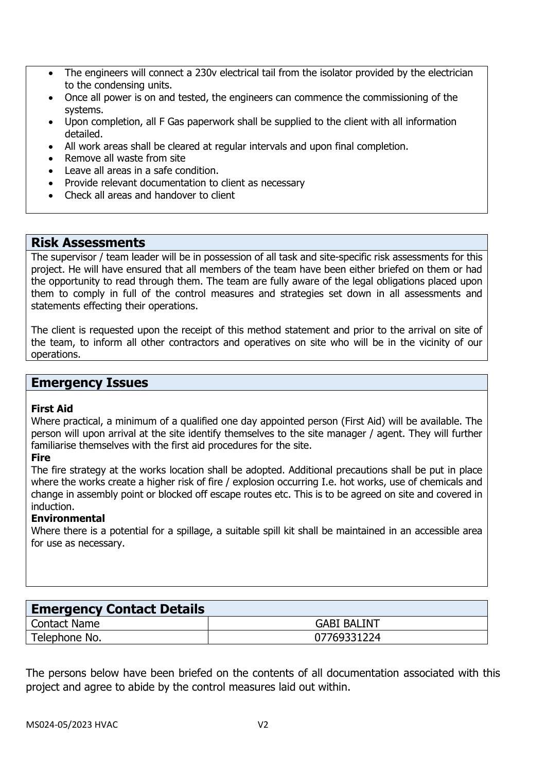- The engineers will connect a 230v electrical tail from the isolator provided by the electrician to the condensing units.
- Once all power is on and tested, the engineers can commence the commissioning of the systems.
- Upon completion, all F Gas paperwork shall be supplied to the client with all information detailed.
- All work areas shall be cleared at regular intervals and upon final completion.
- Remove all waste from site
- Leave all areas in a safe condition.
- Provide relevant documentation to client as necessary
- Check all areas and handover to client

#### **Risk Assessments**

The supervisor / team leader will be in possession of all task and site-specific risk assessments for this project. He will have ensured that all members of the team have been either briefed on them or had the opportunity to read through them. The team are fully aware of the legal obligations placed upon them to comply in full of the control measures and strategies set down in all assessments and statements effecting their operations.

The client is requested upon the receipt of this method statement and prior to the arrival on site of the team, to inform all other contractors and operatives on site who will be in the vicinity of our operations.

## **Emergency Issues**

#### **First Aid**

Where practical, a minimum of a qualified one day appointed person (First Aid) will be available. The person will upon arrival at the site identify themselves to the site manager / agent. They will further familiarise themselves with the first aid procedures for the site.

#### **Fire**

The fire strategy at the works location shall be adopted. Additional precautions shall be put in place where the works create a higher risk of fire / explosion occurring I.e. hot works, use of chemicals and change in assembly point or blocked off escape routes etc. This is to be agreed on site and covered in induction.

#### **Environmental**

Where there is a potential for a spillage, a suitable spill kit shall be maintained in an accessible area for use as necessary.

| <b>Emergency Contact Details</b> |                    |  |  |
|----------------------------------|--------------------|--|--|
| Contact Name                     | <b>GABI BALINT</b> |  |  |
| Telephone No.                    | 07769331224        |  |  |

The persons below have been briefed on the contents of all documentation associated with this project and agree to abide by the control measures laid out within.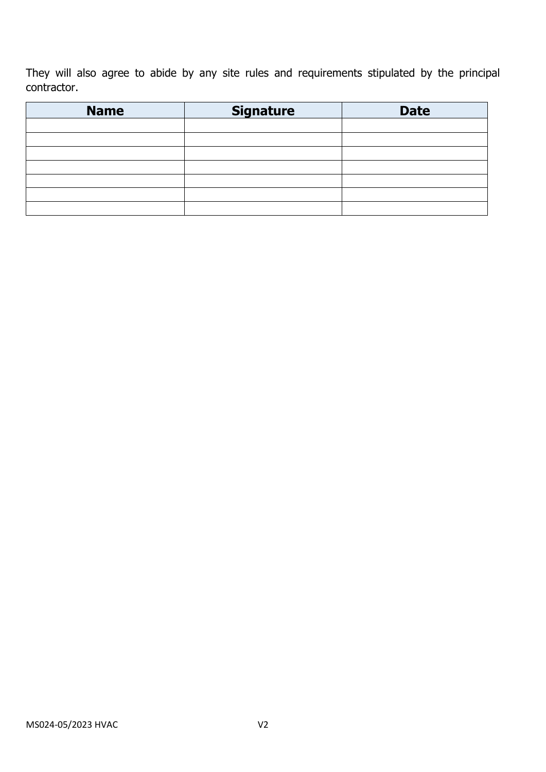They will also agree to abide by any site rules and requirements stipulated by the principal contractor.

| <b>Name</b> | <b>Signature</b> | <b>Date</b> |
|-------------|------------------|-------------|
|             |                  |             |
|             |                  |             |
|             |                  |             |
|             |                  |             |
|             |                  |             |
|             |                  |             |
|             |                  |             |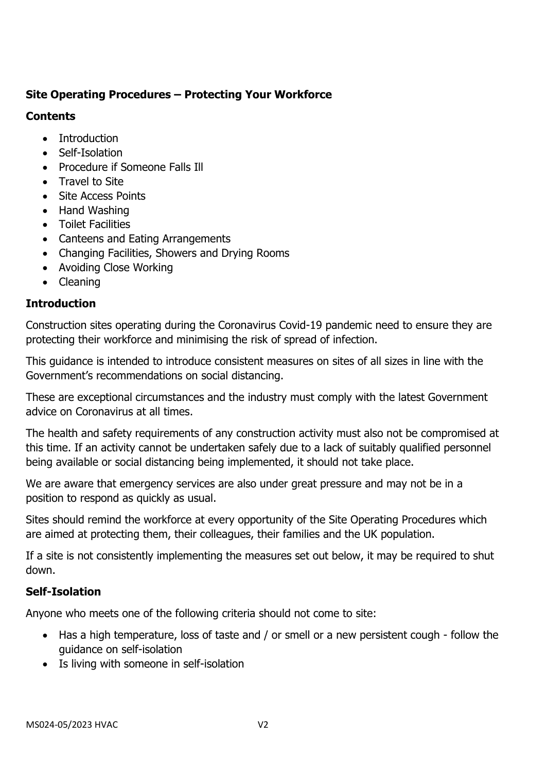# **Site Operating Procedures – Protecting Your Workforce**

## **Contents**

- Introduction
- Self-Isolation
- Procedure if Someone Falls Ill
- Travel to Site
- Site Access Points
- Hand Washing
- Toilet Facilities
- Canteens and Eating Arrangements
- Changing Facilities, Showers and Drying Rooms
- Avoiding Close Working
- Cleaning

# **Introduction**

Construction sites operating during the Coronavirus Covid-19 pandemic need to ensure they are protecting their workforce and minimising the risk of spread of infection.

This guidance is intended to introduce consistent measures on sites of all sizes in line with the Government's recommendations on social distancing.

These are exceptional circumstances and the industry must comply with the latest Government advice on Coronavirus at all times.

The health and safety requirements of any construction activity must also not be compromised at this time. If an activity cannot be undertaken safely due to a lack of suitably qualified personnel being available or social distancing being implemented, it should not take place.

We are aware that emergency services are also under great pressure and may not be in a position to respond as quickly as usual.

Sites should remind the workforce at every opportunity of the Site Operating Procedures which are aimed at protecting them, their colleagues, their families and the UK population.

If a site is not consistently implementing the measures set out below, it may be required to shut down.

## **Self-Isolation**

Anyone who meets one of the following criteria should not come to site:

- Has a high temperature, loss of taste and / or smell or a new persistent cough follow the guidance on self-isolation
- Is living with someone in self-isolation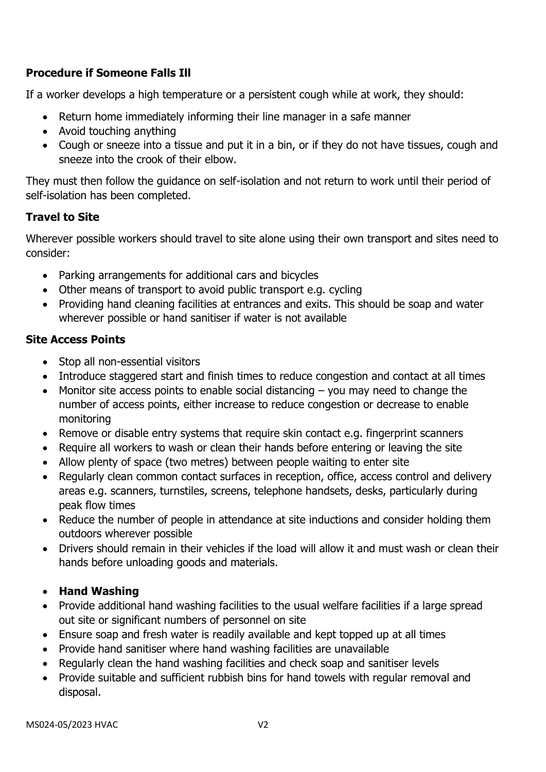# **Procedure if Someone Falls Ill**

If a worker develops a high temperature or a persistent cough while at work, they should:

- Return home immediately informing their line manager in a safe manner
- Avoid touching anything
- Cough or sneeze into a tissue and put it in a bin, or if they do not have tissues, cough and sneeze into the crook of their elbow.

They must then follow the guidance on self-isolation and not return to work until their period of self-isolation has been completed.

## **Travel to Site**

Wherever possible workers should travel to site alone using their own transport and sites need to consider:

- Parking arrangements for additional cars and bicycles
- Other means of transport to avoid public transport e.g. cycling
- Providing hand cleaning facilities at entrances and exits. This should be soap and water wherever possible or hand sanitiser if water is not available

## **Site Access Points**

- Stop all non-essential visitors
- Introduce staggered start and finish times to reduce congestion and contact at all times
- Monitor site access points to enable social distancing you may need to change the number of access points, either increase to reduce congestion or decrease to enable monitoring
- Remove or disable entry systems that require skin contact e.g. fingerprint scanners
- Require all workers to wash or clean their hands before entering or leaving the site
- Allow plenty of space (two metres) between people waiting to enter site
- Regularly clean common contact surfaces in reception, office, access control and delivery areas e.g. scanners, turnstiles, screens, telephone handsets, desks, particularly during peak flow times
- Reduce the number of people in attendance at site inductions and consider holding them outdoors wherever possible
- Drivers should remain in their vehicles if the load will allow it and must wash or clean their hands before unloading goods and materials.

## • **Hand Washing**

- Provide additional hand washing facilities to the usual welfare facilities if a large spread out site or significant numbers of personnel on site
- Ensure soap and fresh water is readily available and kept topped up at all times
- Provide hand sanitiser where hand washing facilities are unavailable
- Regularly clean the hand washing facilities and check soap and sanitiser levels
- Provide suitable and sufficient rubbish bins for hand towels with regular removal and disposal.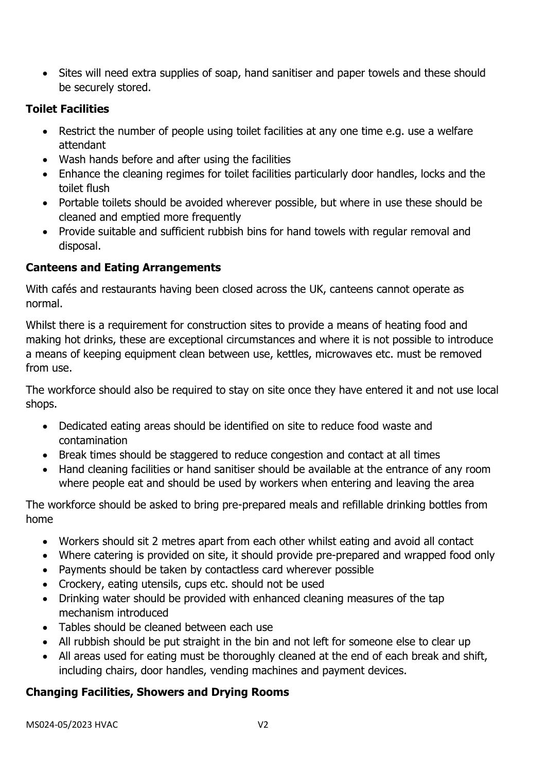• Sites will need extra supplies of soap, hand sanitiser and paper towels and these should be securely stored.

# **Toilet Facilities**

- Restrict the number of people using toilet facilities at any one time e.g. use a welfare attendant
- Wash hands before and after using the facilities
- Enhance the cleaning regimes for toilet facilities particularly door handles, locks and the toilet flush
- Portable toilets should be avoided wherever possible, but where in use these should be cleaned and emptied more frequently
- Provide suitable and sufficient rubbish bins for hand towels with regular removal and disposal.

# **Canteens and Eating Arrangements**

With cafés and restaurants having been closed across the UK, canteens cannot operate as normal.

Whilst there is a requirement for construction sites to provide a means of heating food and making hot drinks, these are exceptional circumstances and where it is not possible to introduce a means of keeping equipment clean between use, kettles, microwaves etc. must be removed from use.

The workforce should also be required to stay on site once they have entered it and not use local shops.

- Dedicated eating areas should be identified on site to reduce food waste and contamination
- Break times should be staggered to reduce congestion and contact at all times
- Hand cleaning facilities or hand sanitiser should be available at the entrance of any room where people eat and should be used by workers when entering and leaving the area

The workforce should be asked to bring pre-prepared meals and refillable drinking bottles from home

- Workers should sit 2 metres apart from each other whilst eating and avoid all contact
- Where catering is provided on site, it should provide pre-prepared and wrapped food only
- Payments should be taken by contactless card wherever possible
- Crockery, eating utensils, cups etc. should not be used
- Drinking water should be provided with enhanced cleaning measures of the tap mechanism introduced
- Tables should be cleaned between each use
- All rubbish should be put straight in the bin and not left for someone else to clear up
- All areas used for eating must be thoroughly cleaned at the end of each break and shift, including chairs, door handles, vending machines and payment devices.

# **Changing Facilities, Showers and Drying Rooms**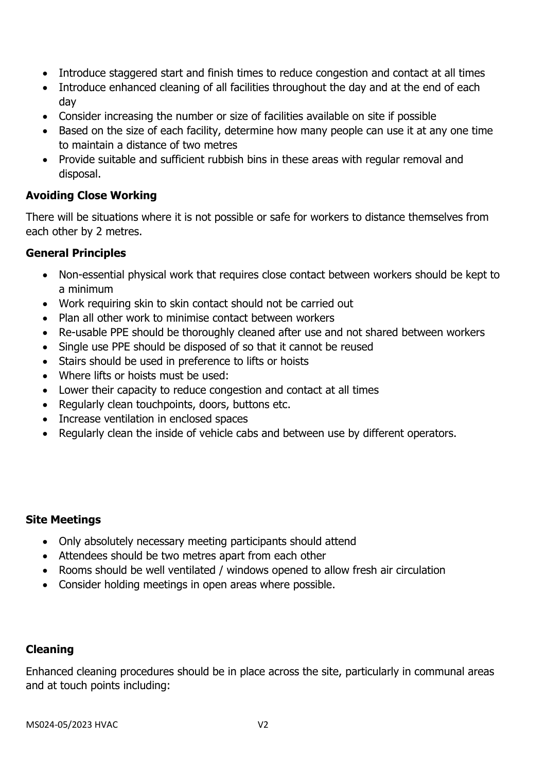- Introduce staggered start and finish times to reduce congestion and contact at all times
- Introduce enhanced cleaning of all facilities throughout the day and at the end of each day
- Consider increasing the number or size of facilities available on site if possible
- Based on the size of each facility, determine how many people can use it at any one time to maintain a distance of two metres
- Provide suitable and sufficient rubbish bins in these areas with regular removal and disposal.

## **Avoiding Close Working**

There will be situations where it is not possible or safe for workers to distance themselves from each other by 2 metres.

## **General Principles**

- Non-essential physical work that requires close contact between workers should be kept to a minimum
- Work requiring skin to skin contact should not be carried out
- Plan all other work to minimise contact between workers
- Re-usable PPE should be thoroughly cleaned after use and not shared between workers
- Single use PPE should be disposed of so that it cannot be reused
- Stairs should be used in preference to lifts or hoists
- Where lifts or hoists must be used:
- Lower their capacity to reduce congestion and contact at all times
- Regularly clean touchpoints, doors, buttons etc.
- Increase ventilation in enclosed spaces
- Regularly clean the inside of vehicle cabs and between use by different operators.

## **Site Meetings**

- Only absolutely necessary meeting participants should attend
- Attendees should be two metres apart from each other
- Rooms should be well ventilated / windows opened to allow fresh air circulation
- Consider holding meetings in open areas where possible.

## **Cleaning**

Enhanced cleaning procedures should be in place across the site, particularly in communal areas and at touch points including: